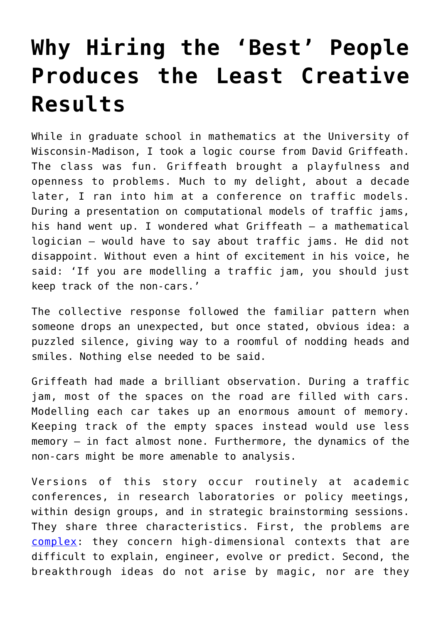## **[Why Hiring the 'Best' People](https://intellectualtakeout.org/2018/02/why-hiring-the-best-people-produces-the-least-creative-results/) [Produces the Least Creative](https://intellectualtakeout.org/2018/02/why-hiring-the-best-people-produces-the-least-creative-results/) [Results](https://intellectualtakeout.org/2018/02/why-hiring-the-best-people-produces-the-least-creative-results/)**

While in graduate school in mathematics at the University of Wisconsin-Madison, I took a logic course from David Griffeath. The class was fun. Griffeath brought a playfulness and openness to problems. Much to my delight, about a decade later, I ran into him at a conference on traffic models. During a presentation on computational models of traffic jams, his hand went up. I wondered what Griffeath – a mathematical logician – would have to say about traffic jams. He did not disappoint. Without even a hint of excitement in his voice, he said: 'If you are modelling a traffic jam, you should just keep track of the non-cars.'

The collective response followed the familiar pattern when someone drops an unexpected, but once stated, obvious idea: a puzzled silence, giving way to a roomful of nodding heads and smiles. Nothing else needed to be said.

Griffeath had made a brilliant observation. During a traffic jam, most of the spaces on the road are filled with cars. Modelling each car takes up an enormous amount of memory. Keeping track of the empty spaces instead would use less memory – in fact almost none. Furthermore, the dynamics of the non-cars might be more amenable to analysis.

Versions of this story occur routinely at academic conferences, in research laboratories or policy meetings, within design groups, and in strategic brainstorming sessions. They share three characteristics. First, the problems are [complex](https://press.princeton.edu/titles/9208.html): they concern high-dimensional contexts that are difficult to explain, engineer, evolve or predict. Second, the breakthrough ideas do not arise by magic, nor are they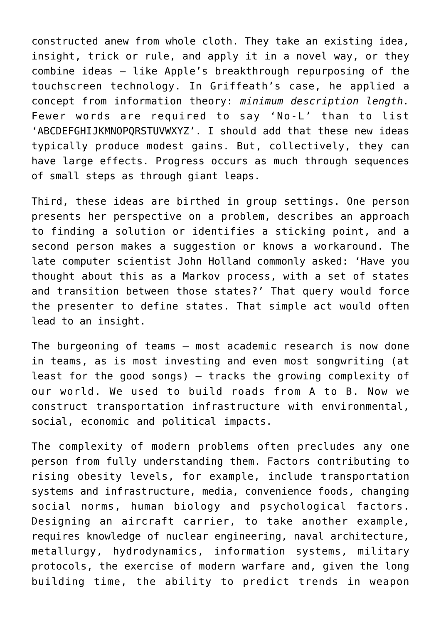constructed anew from whole cloth. They take an existing idea, insight, trick or rule, and apply it in a novel way, or they combine ideas – like Apple's breakthrough repurposing of the touchscreen technology. In Griffeath's case, he applied a concept from information theory: *minimum description length.* Fewer words are required to say 'No-L' than to list 'ABCDEFGHIJKMNOPQRSTUVWXYZ'. I should add that these new ideas typically produce modest gains. But, collectively, they can have large effects. Progress occurs as much through sequences of small steps as through giant leaps.

Third, these ideas are birthed in group settings. One person presents her perspective on a problem, describes an approach to finding a solution or identifies a sticking point, and a second person makes a suggestion or knows a workaround. The late computer scientist John Holland commonly asked: 'Have you thought about this as a Markov process, with a set of states and transition between those states?' That query would force the presenter to define states. That simple act would often lead to an insight.

The burgeoning of teams – most academic research is now done in teams, as is most investing and even most songwriting (at least for the good songs) – tracks the growing complexity of our world. We used to build roads from A to B. Now we construct transportation infrastructure with environmental, social, economic and political impacts.

The complexity of modern problems often precludes any one person from fully understanding them. Factors contributing to rising obesity levels, for example, include transportation systems and infrastructure, media, convenience foods, changing social norms, human biology and psychological factors. Designing an aircraft carrier, to take another example, requires knowledge of nuclear engineering, naval architecture, metallurgy, hydrodynamics, information systems, military protocols, the exercise of modern warfare and, given the long building time, the ability to predict trends in weapon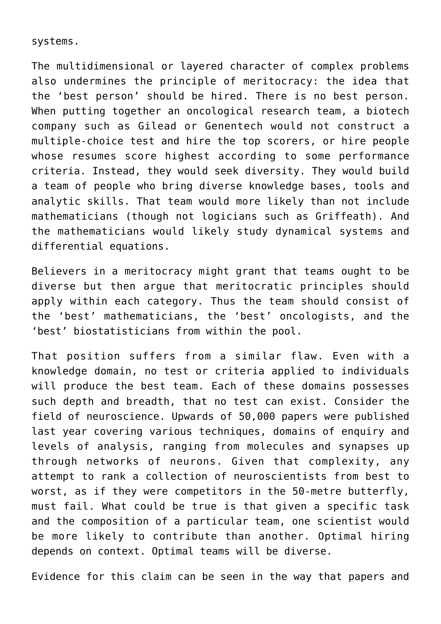systems.

The multidimensional or layered character of complex problems also undermines the principle of meritocracy: the idea that the 'best person' should be hired. There is no best person. When putting together an oncological research team, a biotech company such as Gilead or Genentech would not construct a multiple-choice test and hire the top scorers, or hire people whose resumes score highest according to some performance criteria. Instead, they would seek diversity. They would build a team of people who bring diverse knowledge bases, tools and analytic skills. That team would more likely than not include mathematicians (though not logicians such as Griffeath). And the mathematicians would likely study dynamical systems and differential equations.

Believers in a meritocracy might grant that teams ought to be diverse but then argue that meritocratic principles should apply within each category. Thus the team should consist of the 'best' mathematicians, the 'best' oncologists, and the 'best' biostatisticians from within the pool.

That position suffers from a similar flaw. Even with a knowledge domain, no test or criteria applied to individuals will produce the best team. Each of these domains possesses such depth and breadth, that no test can exist. Consider the field of neuroscience. Upwards of 50,000 papers were published last year covering various techniques, domains of enquiry and levels of analysis, ranging from molecules and synapses up through networks of neurons. Given that complexity, any attempt to rank a collection of neuroscientists from best to worst, as if they were competitors in the 50-metre butterfly, must fail. What could be true is that given a specific task and the composition of a particular team, one scientist would be more likely to contribute than another. Optimal hiring depends on context. Optimal teams will be diverse.

Evidence for this claim can be seen in the way that papers and